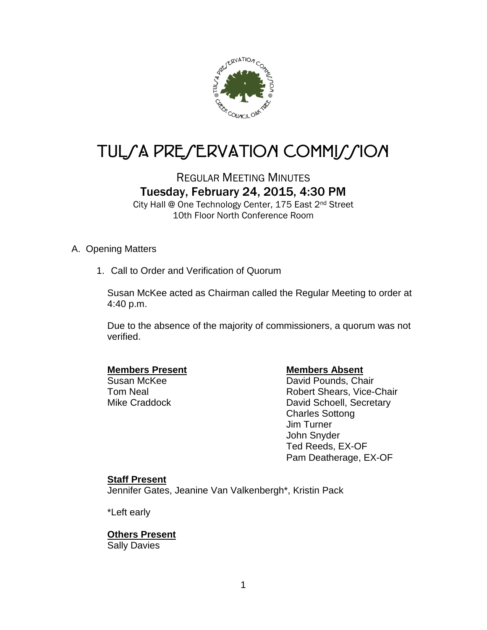

# TUL/A PRE/ERVATION COMMI*J*/ION

# REGULAR MEETING MINUTES Tuesday, February 24, 2015, 4:30 PM

City Hall @ One Technology Center, 175 East 2nd Street 10th Floor North Conference Room

# A. Opening Matters

1. Call to Order and Verification of Quorum

Susan McKee acted as Chairman called the Regular Meeting to order at 4:40 p.m.

Due to the absence of the majority of commissioners, a quorum was not verified.

**Members Present Members Absent Constructed Members Absent Constructed Absent**<br>
Susan McKee Members Absent David Pounds, Cha David Pounds, Chair Tom Neal **Robert Shears**, Vice-Chair Mike Craddock David Schoell, Secretary Charles Sottong Jim Turner John Snyder Ted Reeds, EX-OF Pam Deatherage, EX-OF

# **Staff Present**

Jennifer Gates, Jeanine Van Valkenbergh\*, Kristin Pack

\*Left early

**Others Present** Sally Davies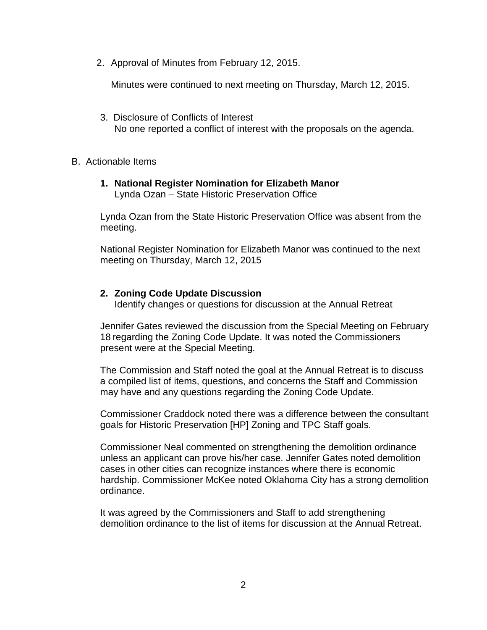2. Approval of Minutes from February 12, 2015.

Minutes were continued to next meeting on Thursday, March 12, 2015.

- 3. Disclosure of Conflicts of Interest No one reported a conflict of interest with the proposals on the agenda.
- B. Actionable Items
	- **1. National Register Nomination for Elizabeth Manor** Lynda Ozan – State Historic Preservation Office

Lynda Ozan from the State Historic Preservation Office was absent from the meeting.

National Register Nomination for Elizabeth Manor was continued to the next meeting on Thursday, March 12, 2015

## **2. Zoning Code Update Discussion**

Identify changes or questions for discussion at the Annual Retreat

Jennifer Gates reviewed the discussion from the Special Meeting on February 18 regarding the Zoning Code Update. It was noted the Commissioners present were at the Special Meeting.

The Commission and Staff noted the goal at the Annual Retreat is to discuss a compiled list of items, questions, and concerns the Staff and Commission may have and any questions regarding the Zoning Code Update.

Commissioner Craddock noted there was a difference between the consultant goals for Historic Preservation [HP] Zoning and TPC Staff goals.

Commissioner Neal commented on strengthening the demolition ordinance unless an applicant can prove his/her case. Jennifer Gates noted demolition cases in other cities can recognize instances where there is economic hardship. Commissioner McKee noted Oklahoma City has a strong demolition ordinance.

It was agreed by the Commissioners and Staff to add strengthening demolition ordinance to the list of items for discussion at the Annual Retreat.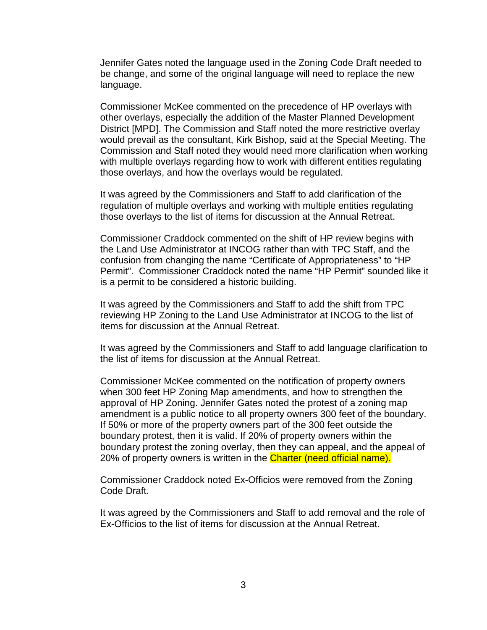Jennifer Gates noted the language used in the Zoning Code Draft needed to be change, and some of the original language will need to replace the new language.

Commissioner McKee commented on the precedence of HP overlays with other overlays, especially the addition of the Master Planned Development District [MPD]. The Commission and Staff noted the more restrictive overlay would prevail as the consultant, Kirk Bishop, said at the Special Meeting. The Commission and Staff noted they would need more clarification when working with multiple overlays regarding how to work with different entities regulating those overlays, and how the overlays would be regulated.

It was agreed by the Commissioners and Staff to add clarification of the regulation of multiple overlays and working with multiple entities regulating those overlays to the list of items for discussion at the Annual Retreat.

Commissioner Craddock commented on the shift of HP review begins with the Land Use Administrator at INCOG rather than with TPC Staff, and the confusion from changing the name "Certificate of Appropriateness" to "HP Permit". Commissioner Craddock noted the name "HP Permit" sounded like it is a permit to be considered a historic building.

It was agreed by the Commissioners and Staff to add the shift from TPC reviewing HP Zoning to the Land Use Administrator at INCOG to the list of items for discussion at the Annual Retreat.

It was agreed by the Commissioners and Staff to add language clarification to the list of items for discussion at the Annual Retreat.

Commissioner McKee commented on the notification of property owners when 300 feet HP Zoning Map amendments, and how to strengthen the approval of HP Zoning. Jennifer Gates noted the protest of a zoning map amendment is a public notice to all property owners 300 feet of the boundary. If 50% or more of the property owners part of the 300 feet outside the boundary protest, then it is valid. If 20% of property owners within the boundary protest the zoning overlay, then they can appeal, and the appeal of 20% of property owners is written in the **Charter (need official name).** 

Commissioner Craddock noted Ex-Officios were removed from the Zoning Code Draft.

It was agreed by the Commissioners and Staff to add removal and the role of Ex-Officios to the list of items for discussion at the Annual Retreat.